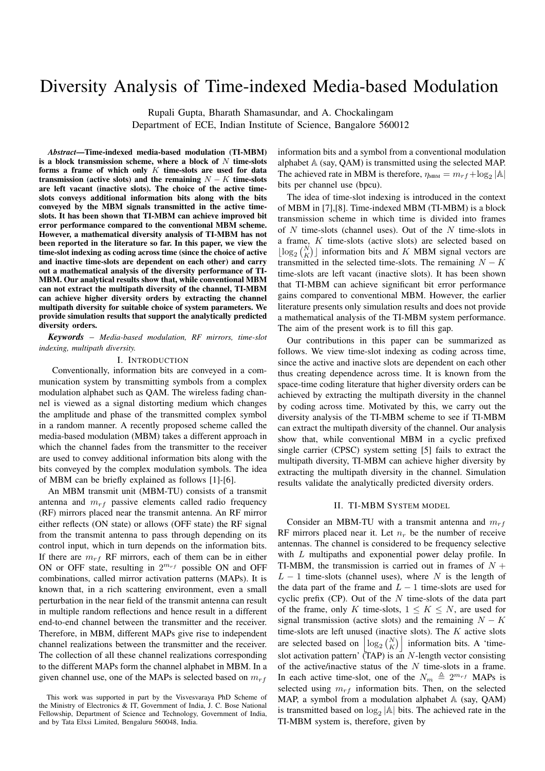# Diversity Analysis of Time-indexed Media-based Modulation

Rupali Gupta, Bharath Shamasundar, and A. Chockalingam Department of ECE, Indian Institute of Science, Bangalore 560012

*Abstract*—Time-indexed media-based modulation (TI-MBM) is a block transmission scheme, where a block of *N* time-slots forms a frame of which only *K* time-slots are used for data transmission (active slots) and the remaining  $N - K$  time-slots are left vacant (inactive slots). The choice of the active timeslots conveys additional information bits along with the bits conveyed by the MBM signals transmitted in the active timeslots. It has been shown that TI-MBM can achieve improved bit error performance compared to the conventional MBM scheme. However, a mathematical diversity analysis of TI-MBM has not been reported in the literature so far. In this paper, we view the time-slot indexing as coding across time (since the choice of active and inactive time-slots are dependent on each other) and carry out a mathematical analysis of the diversity performance of TI-MBM. Our analytical results show that, while conventional MBM can not extract the multipath diversity of the channel, TI-MBM can achieve higher diversity orders by extracting the channel multipath diversity for suitable choice of system parameters. We provide simulation results that support the analytically predicted diversity orders.

*Keywords* – *Media-based modulation, RF mirrors, time-slot indexing, multipath diversity.*

### I. INTRODUCTION

Conventionally, information bits are conveyed in a communication system by transmitting symbols from a complex modulation alphabet such as QAM. The wireless fading channel is viewed as a signal distorting medium which changes the amplitude and phase of the transmitted complex symbol in a random manner. A recently proposed scheme called the media-based modulation (MBM) takes a different approach in which the channel fades from the transmitter to the receiver are used to convey additional information bits along with the bits conveyed by the complex modulation symbols. The idea of MBM can be briefly explained as follows [1]-[6].

An MBM transmit unit (MBM-TU) consists of a transmit antenna and *mrf* passive elements called radio frequency (RF) mirrors placed near the transmit antenna. An RF mirror either reflects (ON state) or allows (OFF state) the RF signal from the transmit antenna to pass through depending on its control input, which in turn depends on the information bits. If there are  $m_{rf}$  RF mirrors, each of them can be in either ON or OFF state, resulting in 2 *<sup>m</sup>rf* possible ON and OFF combinations, called mirror activation patterns (MAPs). It is known that, in a rich scattering environment, even a small perturbation in the near field of the transmit antenna can result in multiple random reflections and hence result in a different end-to-end channel between the transmitter and the receiver. Therefore, in MBM, different MAPs give rise to independent channel realizations between the transmitter and the receiver. The collection of all these channel realizations corresponding to the different MAPs form the channel alphabet in MBM. In a given channel use, one of the MAPs is selected based on *mrf*

information bits and a symbol from a conventional modulation alphabet A (say, QAM) is transmitted using the selected MAP. The achieved rate in MBM is therefore,  $\eta_{\text{MBM}} = m_{rf} + \log_2 |\mathbb{A}|$ bits per channel use (bpcu).

The idea of time-slot indexing is introduced in the context of MBM in [7],[8]. Time-indexed MBM (TI-MBM) is a block transmission scheme in which time is divided into frames of *N* time-slots (channel uses). Out of the *N* time-slots in a frame, *K* time-slots (active slots) are selected based on  $\lfloor \log_2 {N \choose K} \rfloor$  information bits and *K* MBM signal vectors are transmitted in the selected time-slots. The remaining  $N - K$ time-slots are left vacant (inactive slots). It has been shown that TI-MBM can achieve significant bit error performance gains compared to conventional MBM. However, the earlier literature presents only simulation results and does not provide a mathematical analysis of the TI-MBM system performance. The aim of the present work is to fill this gap.

Our contributions in this paper can be summarized as follows. We view time-slot indexing as coding across time, since the active and inactive slots are dependent on each other thus creating dependence across time. It is known from the space-time coding literature that higher diversity orders can be achieved by extracting the multipath diversity in the channel by coding across time. Motivated by this, we carry out the diversity analysis of the TI-MBM scheme to see if TI-MBM can extract the multipath diversity of the channel. Our analysis show that, while conventional MBM in a cyclic prefixed single carrier (CPSC) system setting [5] fails to extract the multipath diversity, TI-MBM can achieve higher diversity by extracting the multipath diversity in the channel. Simulation results validate the analytically predicted diversity orders.

# II. TI-MBM SYSTEM MODEL

Consider an MBM-TU with a transmit antenna and *mrf* RF mirrors placed near it. Let  $n_r$  be the number of receive antennas. The channel is considered to be frequency selective with *L* multipaths and exponential power delay profile. In TI-MBM, the transmission is carried out in frames of *N* + *L* − 1 time-slots (channel uses), where *N* is the length of the data part of the frame and  $L - 1$  time-slots are used for cyclic prefix (CP). Out of the *N* time-slots of the data part of the frame, only *K* time-slots,  $1 \leq K \leq N$ , are used for signal transmission (active slots) and the remaining  $N - K$ time-slots are left unused (inactive slots). The *K* active slots are selected based on  $\left| \log_2 {N \choose K} \right|$  information bits. A 'timeslot activation pattern' (TAP) is an *N*-length vector consisting of the active/inactive status of the *N* time-slots in a frame. In each active time-slot, one of the  $N_m \triangleq 2^{m_{rf}}$  MAPs is selected using  $m_{rf}$  information bits. Then, on the selected MAP, a symbol from a modulation alphabet  $A$  (say, QAM) is transmitted based on  $log_2 |\mathbb{A}|$  bits. The achieved rate in the TI-MBM system is, therefore, given by

This work was supported in part by the Visvesvaraya PhD Scheme of the Ministry of Electronics & IT, Government of India, J. C. Bose National Fellowship, Department of Science and Technology, Government of India, and by Tata Elxsi Limited, Bengaluru 560048, India.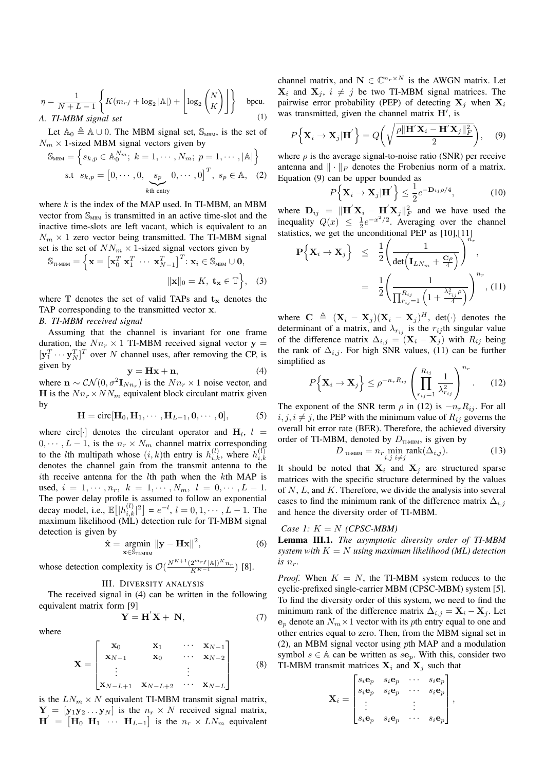$$
\eta = \frac{1}{N + L - 1} \left\{ K(m_{rf} + \log_2 |\mathbb{A}|) + \left\lfloor \log_2 {N \choose K} \right\rfloor \right\}
$$
 bpcu.  
A. TI-MBM signal set (1)

Let  $\mathbb{A}_0 \triangleq \mathbb{A} \cup 0$ . The MBM signal set,  $\mathbb{S}_{MBM}$ , is the set of  $N_m \times 1$ -sized MBM signal vectors given by

$$
\mathbf{M}_{\text{MBM}} = \left\{ s_{k,p} \in \mathbb{A}_{0}^{N_{m}}; k = 1, \cdots, N_{m}; p = 1, \cdots, |\mathbb{A}| \right\}
$$
  
s.t  $s_{k,p} = \begin{bmatrix} 0, \cdots, 0, & s_{p} & 0, \cdots, 0 \end{bmatrix}^{T}, s_{p} \in \mathbb{A}, (2)$   
<sub>kth entry</sub>

where *k* is the index of the MAP used. In TI-MBM, an MBM vector from  $\mathbb{S}_{\text{MBM}}$  is transmitted in an active time-slot and the inactive time-slots are left vacant, which is equivalent to an  $N_m \times 1$  zero vector being transmitted. The TI-MBM signal set is the set of  $NN_m \times 1$ -sized signal vectors given by

$$
\mathbb{S}_{\text{tI-MBM}} = \left\{ \mathbf{x} = \left[ \mathbf{x}_0^T \; \mathbf{x}_1^T \; \cdots \; \mathbf{x}_{N-1}^T \right]^T : \mathbf{x}_i \in \mathbb{S}_{\text{MBM}} \cup \mathbf{0}, \\ ||\mathbf{x}||_0 = K, \; \mathbf{t}_{\mathbf{x}} \in \mathbb{T} \right\}, \quad (3)
$$

where  $\mathbb{T}$  denotes the set of valid TAPs and  $\mathbf{t}_{\mathbf{x}}$  denotes the TAP corresponding to the transmitted vector **x**.

*B. TI-MBM received signal*

 $\mathbb S$ 

Assuming that the channel is invariant for one frame duration, the  $Nn_r \times 1$  TI-MBM received signal vector  $y =$  $[\mathbf{y}_1^T \cdots \mathbf{y}_N^T]^T$  over *N* channel uses, after removing the CP, is given by

$$
y = Hx + n,\t\t(4)
$$

where  $\mathbf{n} \sim \mathcal{CN}(0, \sigma^2 \mathbf{I}_{Nn_r})$  is the  $Nn_r \times 1$  noise vector, and **H** is the  $Nn_r \times NN_m$  equivalent block circulant matrix given by

$$
\mathbf{H} = \text{circ}[\mathbf{H}_0, \mathbf{H}_1, \cdots, \mathbf{H}_{L-1}, \mathbf{0}, \cdots, \mathbf{0}],
$$
 (5)

where  $\text{circ}[\cdot]$  denotes the circulant operator and  $H_l$ ,  $l =$  $0, \dots, L-1$ , is the  $n_r \times N_m$  channel matrix corresponding to the *l*th multipath whose  $(i, k)$ th entry is  $h_{i,k}^{(l)}$ , where  $h_{i,k}^{(l)}$ *i,k* denotes the channel gain from the transmit antenna to the *i*th receive antenna for the *l*th path when the *k*th MAP is used,  $i = 1, \dots, n_r$ ,  $k = 1, \dots, N_m$ ,  $l = 0, \dots, L - 1$ . The power delay profile is assumed to follow an exponential decay model, i.e.,  $\mathbb{E}[|h_{i,k}^{(l)}|^2] = e^{-l}, l = 0, 1, \dots, L-1$ . The maximum likelihood (ML) detection rule for TI-MBM signal detection is given by

$$
\hat{\mathbf{x}} = \underset{\mathbf{x} \in \mathbb{S}_{\text{TI-MBM}}}{\text{argmin}} \|\mathbf{y} - \mathbf{H}\mathbf{x}\|^2, \tag{6}
$$

whose detection complexity is  $\mathcal{O}\left(\frac{N^{K+1}(2^{m_r}f|\mathbb{A}|)^K n_r}{K^{K-1}}\right)$  [8].

# III. DIVERSITY ANALYSIS

The received signal in (4) can be written in the following equivalent matrix form [9]

$$
\mathbf{Y} = \mathbf{H}'\mathbf{X} + \mathbf{N},\tag{7}
$$

where

$$
\mathbf{X} = \begin{bmatrix} \mathbf{x}_0 & \mathbf{x}_1 & \cdots & \mathbf{x}_{N-1} \\ \mathbf{x}_{N-1} & \mathbf{x}_0 & \cdots & \mathbf{x}_{N-2} \\ \vdots & & \vdots & \vdots \\ \mathbf{x}_{N-L+1} & \mathbf{x}_{N-L+2} & \cdots & \mathbf{x}_{N-L} \end{bmatrix}
$$
 (8)

is the  $LN_m \times N$  equivalent TI-MBM transmit signal matrix,  $Y = [y_1y_2 \dots y_N]$  is the  $n_r \times N$  received signal matrix,  $\mathbf{H}' = [\mathbf{H}_0 \ \mathbf{H}_1 \ \cdots \ \mathbf{H}_{L-1}]$  is the  $n_r \times LN_m$  equivalent channel matrix, and  $N \in \mathbb{C}^{n_r \times N}$  is the AWGN matrix. Let  $X_i$  and  $X_j$ ,  $i \neq j$  be two TI-MBM signal matrices. The pairwise error probability (PEP) of detecting  $X_j$  when  $X_i$ was transmitted, given the channel matrix **H***′* , is

$$
P\left\{ \mathbf{X}_{i} \rightarrow \mathbf{X}_{j} | \mathbf{H}' \right\} = Q\left(\sqrt{\frac{\rho \|\mathbf{H}' \mathbf{X}_{i} - \mathbf{H}' \mathbf{X}_{j} \|_{F}^{2}}{2}}\right), \quad (9)
$$

where  $\rho$  is the average signal-to-noise ratio (SNR) per receive antenna and  $\|\cdot\|_F$  denotes the Frobenius norm of a matrix. Equation (9) can be upper bounded as

$$
P\left\{\mathbf{X}_{i} \rightarrow \mathbf{X}_{j}|\mathbf{H}'\right\} \leq \frac{1}{2}e^{-\mathbf{D}_{ij}\rho/4},\tag{10}
$$

where  $\mathbf{D}_{ij} = ||\mathbf{H}'\mathbf{X}_i - \mathbf{H}'\mathbf{X}_j||_F^2$  and we have used the inequality  $Q(x) \leq \frac{1}{2}e^{-x^2/2}$ . Averaging over the channel statistics, we get the unconditional PEP as  $[10],[11]$ 

$$
\mathbf{P}\Big\{\mathbf{X}_{i} \rightarrow \mathbf{X}_{j}\Big\} \leq \frac{1}{2} \Bigg( \frac{1}{\det \Big(\mathbf{I}_{LN_{m}} + \frac{\mathbf{C}\rho}{4}\Big)} \Bigg)^{n_{r}},
$$
  

$$
= \frac{1}{2} \Bigg( \frac{1}{\prod_{r_{ij}=1}^{R_{ij}} \Big(1 + \frac{\lambda_{r_{ij}}^{2}\rho}{4}\Big)} \Bigg)^{n_{r}},
$$
(11)

where  $\mathbf{C} \triangleq (\mathbf{X}_i - \mathbf{X}_j)(\mathbf{X}_i - \mathbf{X}_j)^H$ , det(*·*) denotes the determinant of a matrix, and  $\lambda_{r_{ij}}$  is the  $r_{ij}$ <sup>th</sup> singular value of the difference matrix  $\Delta_{i,j} = (\mathbf{X}_i - \mathbf{X}_j)$  with  $R_{ij}$  being the rank of  $\Delta_{i,j}$ . For high SNR values, (11) can be further simplified as

$$
P\left\{ \mathbf{X}_{i} \to \mathbf{X}_{j} \right\} \leq \rho^{-n_{r}R_{ij}} \left( \prod_{r_{ij}=1}^{R_{ij}} \frac{1}{\lambda_{r_{ij}}^{2}} \right)^{n_{r}}.
$$
 (12)

The exponent of the SNR term  $\rho$  in (12) is  $-n_r R_{ij}$ . For all  $i, j, i \neq j$ , the PEP with the minimum value of  $R_{ij}$  governs the overall bit error rate (BER). Therefore, the achieved diversity order of TI-MBM, denoted by  $D_{\text{TLMBM}}$ , is given by

$$
D_{\text{TIMBM}} = n_r \min_{i,j} \text{rank}(\Delta_{i,j}). \tag{13}
$$

It should be noted that  $X_i$  and  $X_j$  are structured sparse matrices with the specific structure determined by the values of *N*, *L*, and *K*. Therefore, we divide the analysis into several cases to find the minimum rank of the difference matrix  $\Delta_{i,j}$ and hence the diversity order of TI-MBM.

## *Case 1:*  $K = N$  *(CPSC-MBM)*

Lemma III.1. *The asymptotic diversity order of TI-MBM system with K* = *N using maximum likelihood (ML) detection*  $is$   $n_r$ .

*Proof.* When  $K = N$ , the TI-MBM system reduces to the cyclic-prefixed single-carrier MBM (CPSC-MBM) system [5]. To find the diversity order of this system, we need to find the minimum rank of the difference matrix  $\Delta_{i,j} = \mathbf{X}_i - \mathbf{X}_j$ . Let  $e_p$  denote an  $N_m \times 1$  vector with its *p*th entry equal to one and other entries equal to zero. Then, from the MBM signal set in (2), an MBM signal vector using *p*th MAP and a modulation symbol  $s \in A$  can be written as  $s\mathbf{e}_p$ . With this, consider two TI-MBM transmit matrices  $X_i$  and  $X_j$  such that

$$
\mathbf{X}_{i} = \begin{bmatrix} s_{i} \mathbf{e}_{p} & s_{i} \mathbf{e}_{p} & \cdots & s_{i} \mathbf{e}_{p} \\ s_{i} \mathbf{e}_{p} & s_{i} \mathbf{e}_{p} & \cdots & s_{i} \mathbf{e}_{p} \\ \vdots & \vdots & \vdots \\ s_{i} \mathbf{e}_{p} & s_{i} \mathbf{e}_{p} & \cdots & s_{i} \mathbf{e}_{p} \end{bmatrix},
$$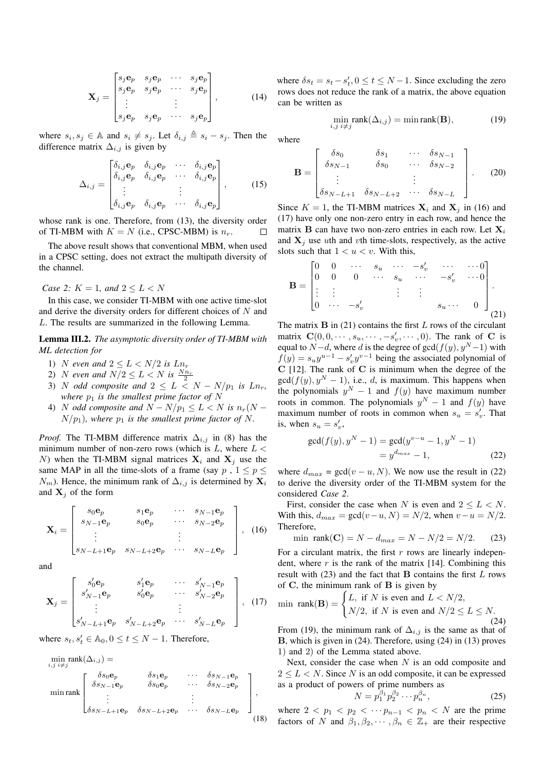$$
\mathbf{X}_{j} = \begin{bmatrix} s_{j} \mathbf{e}_{p} & s_{j} \mathbf{e}_{p} & \cdots & s_{j} \mathbf{e}_{p} \\ s_{j} \mathbf{e}_{p} & s_{j} \mathbf{e}_{p} & \cdots & s_{j} \mathbf{e}_{p} \\ \vdots & \vdots & \vdots \\ s_{j} \mathbf{e}_{p} & s_{j} \mathbf{e}_{p} & \cdots & s_{j} \mathbf{e}_{p} \end{bmatrix}, \quad (14)
$$

where  $s_i, s_j \in \mathbb{A}$  and  $s_i \neq s_j$ . Let  $\delta_{i,j} \triangleq s_i - s_j$ . Then the difference matrix  $\Delta_{i,j}$  is given by

$$
\Delta_{i,j} = \begin{bmatrix}\n\delta_{i,j} \mathbf{e}_p & \delta_{i,j} \mathbf{e}_p & \cdots & \delta_{i,j} \mathbf{e}_p \\
\delta_{i,j} \mathbf{e}_p & \delta_{i,j} \mathbf{e}_p & \cdots & \delta_{i,j} \mathbf{e}_p \\
\vdots & & \vdots \\
\delta_{i,j} \mathbf{e}_p & \delta_{i,j} \mathbf{e}_p & \cdots & \delta_{i,j} \mathbf{e}_p\n\end{bmatrix},
$$
\n(15)

whose rank is one. Therefore, from (13), the diversity order of TI-MBM with  $K = N$  (i.e., CPSC-MBM) is  $n_r$ .  $\Box$ 

The above result shows that conventional MBM, when used in a CPSC setting, does not extract the multipath diversity of the channel.

*Case 2:*  $K = 1$ *, and*  $2 \le L < N$ 

In this case, we consider TI-MBM with one active time-slot and derive the diversity orders for different choices of *N* and *L*. The results are summarized in the following Lemma.

Lemma III.2. *The asymptotic diversity order of TI-MBM with ML detection for*

- 1) *N* even and  $2 \le L < N/2$  is  $Ln_r$
- 2) *N* even and  $N/2 \le L < N$  is  $\frac{Nn_r}{2}$
- 3) *N odd* composite and  $2 \le L \le N N/p_1$  is  $Ln_r$ , *where*  $p_1$  *is the smallest prime factor of*  $N$
- 4) *N odd composite and*  $N N/p_1 \leq L < N$  *is*  $n_r(N 1)$  $N/p_1$ *), where*  $p_1$  *is the smallest prime factor of* N.

*Proof.* The TI-MBM difference matrix  $\Delta_{i,j}$  in (8) has the minimum number of non-zero rows (which is *L*, where *L < N*) when the TI-MBM signal matrices  $X_i$  and  $X_j$  use the same MAP in all the time-slots of a frame (say  $p$ ,  $1 \leq p \leq$ *N*<sub>*m*</sub>). Hence, the minimum rank of  $\Delta_{i,j}$  is determined by  $\mathbf{X}_i$ and  $X_j$  of the form

$$
\mathbf{X}_{i} = \begin{bmatrix} s_{0}\mathbf{e}_{p} & s_{1}\mathbf{e}_{p} & \cdots & s_{N-1}\mathbf{e}_{p} \\ s_{N-1}\mathbf{e}_{p} & s_{0}\mathbf{e}_{p} & \cdots & s_{N-2}\mathbf{e}_{p} \\ \vdots & \vdots & \ddots & \vdots \\ s_{N-L+1}\mathbf{e}_{p} & s_{N-L+2}\mathbf{e}_{p} & \cdots & s_{N-L}\mathbf{e}_{p} \end{bmatrix}, (16)
$$

and

$$
\mathbf{X}_{j} = \begin{bmatrix} s'_{0} \mathbf{e}_{p} & s'_{1} \mathbf{e}_{p} & \cdots & s'_{N-1} \mathbf{e}_{p} \\ s'_{N-1} \mathbf{e}_{p} & s'_{0} \mathbf{e}_{p} & \cdots & s'_{N-2} \mathbf{e}_{p} \\ \vdots & \vdots & \vdots \\ s'_{N-L+1} \mathbf{e}_{p} & s'_{N-L+2} \mathbf{e}_{p} & \cdots & s'_{N-L} \mathbf{e}_{p} \end{bmatrix}, (17)
$$

where  $s_t, s'_t \in \mathbb{A}_0, 0 \le t \le N - 1$ . Therefore,

$$
\min_{i,j} \text{rank}(\Delta_{i,j}) =
$$
\n
$$
\min_{j} \text{rank}(\Delta_{i,j}) = \delta s_0 \mathbf{e}_p \qquad \delta s_1 \mathbf{e}_p \qquad \cdots \qquad \delta s_{N-1} \mathbf{e}_p
$$
\n
$$
\min_{j} \text{rank} \begin{bmatrix}\n\delta s_0 \mathbf{e}_p & \delta s_1 \mathbf{e}_p & \cdots & \delta s_{N-1} \mathbf{e}_p \\
\delta s_{N-1} \mathbf{e}_p & \delta s_0 \mathbf{e}_p & \cdots & \delta s_{N-2} \mathbf{e}_p \\
\vdots & \vdots & \vdots & \vdots\n\end{bmatrix},
$$
\n
$$
\delta s_{N-L+1} \mathbf{e}_p \qquad \delta s_{N-L+2} \mathbf{e}_p \qquad \cdots \qquad \delta s_{N-L} \mathbf{e}_p
$$
\n(18)

where  $\delta s_t = s_t - s'_t, 0 \le t \le N - 1$ . Since excluding the zero rows does not reduce the rank of a matrix, the above equation can be written as

$$
\min_{i,j} \text{rank}(\Delta_{i,j}) = \min \text{rank}(\mathbf{B}),\tag{19}
$$

where

$$
\mathbf{B} = \begin{bmatrix} \delta s_0 & \delta s_1 & \cdots & \delta s_{N-1} \\ \delta s_{N-1} & \delta s_0 & \cdots & \delta s_{N-2} \\ \vdots & \vdots & \vdots \\ \delta s_{N-L+1} & \delta s_{N-L+2} & \cdots & \delta s_{N-L} \end{bmatrix} . \tag{20}
$$

Since  $K = 1$ , the TI-MBM matrices  $X_i$  and  $X_j$  in (16) and (17) have only one non-zero entry in each row, and hence the matrix **B** can have two non-zero entries in each row. Let  $X_i$ and  $X_i$  use *u*th and *v*th time-slots, respectively, as the active slots such that  $1 < u < v$ . With this,

$$
\mathbf{B} = \begin{bmatrix} 0 & 0 & \cdots & s_u & \cdots & -s_v' & \cdots & \cdots & 0 \\ 0 & 0 & 0 & \cdots & s_u & \cdots & -s_v' & \cdots & 0 \\ \vdots & \vdots & & & & \vdots & \vdots & & \\ 0 & \cdots & -s_v' & & & & s_u \cdots & 0 \end{bmatrix}.
$$
 (21)

The matrix **B** in (21) contains the first *L* rows of the circulant matrix  $\mathbf{C}(0,0,\dots,s_u,\dots,-s'_v,\dots,0)$ . The rank of **C** is equal to  $N - d$ , where *d* is the degree of gcd( $f(y)$ ,  $y<sup>N</sup> - 1$ ) with  $f(y) = s<sub>u</sub>y<sup>u-1</sup> - s'<sub>v</sub>y<sup>v-1</sup>$  being the associated polynomial of **C** [12]. The rank of **C** is minimum when the degree of the  $gcd(f(y), y^N - 1)$ , i.e., *d*, is maximum. This happens when the polynomials  $y^N - 1$  and  $f(y)$  have maximum number roots in common. The polynomials  $y^N - 1$  and  $f(y)$  have maximum number of roots in common when  $s_u = s'_v$ . That is, when  $s_u = s'_v$ ,

$$
gcd(f(y), yN - 1) = gcd(yv-u - 1, yN - 1)
$$
  
=  $yd_{max} - 1$ , (22)

where  $d_{max} = \gcd(v - u, N)$ . We now use the result in (22) to derive the diversity order of the TI-MBM system for the considered *Case 2*.

First, consider the case when *N* is even and  $2 \leq L < N$ . With this,  $d_{max} = \gcd(v - u, N) = N/2$ , when  $v - u = N/2$ . Therefore,

min rank(C) = 
$$
N - d_{max} = N - N/2 = N/2
$$
. (23)

For a circulant matrix, the first *r* rows are linearly independent, where  $r$  is the rank of the matrix [14]. Combining this result with (23) and the fact that **B** contains the first *L* rows of **C**, the minimum rank of **B** is given by

$$
\min \text{ rank}(\mathbf{B}) = \begin{cases} L, & \text{if } N \text{ is even and } L < N/2, \\ N/2, & \text{if } N \text{ is even and } N/2 \le L \le N. \end{cases} \tag{24}
$$

From (19), the minimum rank of  $\Delta_{i,j}$  is the same as that of **B**, which is given in (24). Therefore, using (24) in (13) proves 1) and 2) of the Lemma stated above.

Next, consider the case when *N* is an odd composite and 2 *≤ L < N*. Since *N* is an odd composite, it can be expressed as a product of powers of prime numbers as

$$
N = p_1^{\beta_1} p_2^{\beta_2} \cdots p_n^{\beta_n},
$$
 (25)

where  $2 < p_1 < p_2 < \cdots p_{n-1} < p_n < N$  are the prime factors of *N* and  $\beta_1, \beta_2, \cdots, \beta_n \in \mathbb{Z}_+$  are their respective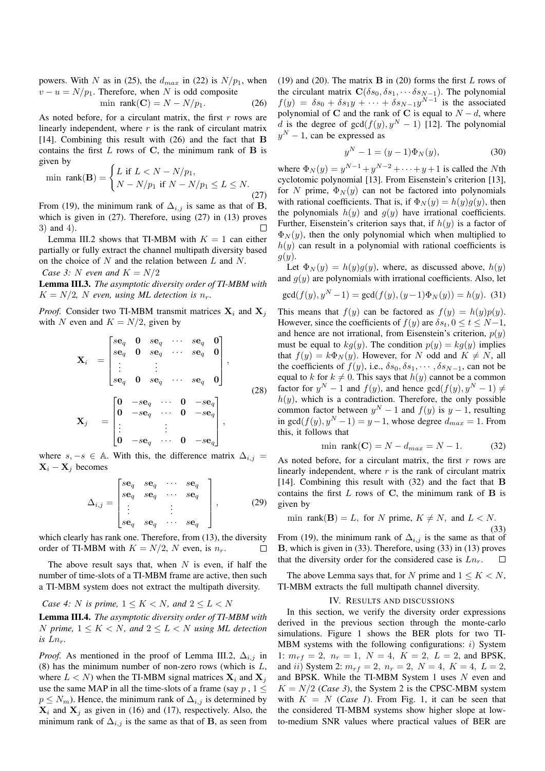powers. With *N* as in (25), the  $d_{max}$  in (22) is  $N/p_1$ , when  $v - u = N/p_1$ . Therefore, when *N* is odd composite<br>min rank(C) =  $N - N/p_1$ .

$$
\min \ \text{rank}(\mathbf{C}) = N - N/p_1. \tag{26}
$$

As noted before, for a circulant matrix, the first *r* rows are linearly independent, where *r* is the rank of circulant matrix [14]. Combining this result with (26) and the fact that **B** contains the first *L* rows of **C**, the minimum rank of **B** is given by

$$
\min \, \text{rank}(\mathbf{B}) = \begin{cases} L \text{ if } L < N - N/p_1, \\ N - N/p_1 \text{ if } N - N/p_1 \le L \le N. \end{cases} \tag{27}
$$

From (19), the minimum rank of  $\Delta_{i,j}$  is same as that of **B**, which is given in (27). Therefore, using (27) in (13) proves 3) and 4).

Lemma III.2 shows that TI-MBM with  $K = 1$  can either partially or fully extract the channel multipath diversity based on the choice of *N* and the relation between *L* and *N*.

*Case 3: N even and*  $K = N/2$ 

Lemma III.3. *The asymptotic diversity order of TI-MBM with*  $K = N/2$ , *N* even, using ML detection is  $n_r$ .

*Proof.* Consider two TI-MBM transmit matrices  $X_i$  and  $X_j$ with *N* even and  $K = N/2$ , given by

$$
\mathbf{X}_{i} = \begin{bmatrix} s\mathbf{e}_{q} & \mathbf{0} & s\mathbf{e}_{q} & \cdots & s\mathbf{e}_{q} & \mathbf{0} \\ s\mathbf{e}_{q} & \mathbf{0} & s\mathbf{e}_{q} & \cdots & s\mathbf{e}_{q} & \mathbf{0} \\ \vdots & \vdots & & & \\ s\mathbf{e}_{q} & \mathbf{0} & s\mathbf{e}_{q} & \cdots & s\mathbf{e}_{q} & \mathbf{0} \end{bmatrix},
$$
\n
$$
\mathbf{X}_{j} = \begin{bmatrix} \mathbf{0} & -s\mathbf{e}_{q} & \cdots & \mathbf{0} & -s\mathbf{e}_{q} \\ \mathbf{0} & -s\mathbf{e}_{q} & \cdots & \mathbf{0} & -s\mathbf{e}_{q} \\ \vdots & \vdots & & \\ \mathbf{0} & -s\mathbf{e}_{q} & \cdots & \mathbf{0} & -s\mathbf{e}_{q} \end{bmatrix},
$$
\n(28)

where  $s, -s \in A$ . With this, the difference matrix  $\Delta_{i,j} =$  $X_i - X_j$  becomes

$$
\Delta_{i,j} = \begin{bmatrix} s\mathbf{e}_q & s\mathbf{e}_q & \cdots & s\mathbf{e}_q \\ s\mathbf{e}_q & s\mathbf{e}_q & \cdots & s\mathbf{e}_q \\ \vdots & & \vdots & \\ s\mathbf{e}_q & s\mathbf{e}_q & \cdots & s\mathbf{e}_q \end{bmatrix},
$$
(29)

which clearly has rank one. Therefore, from (13), the diversity order of TI-MBM with  $K = N/2$ , N even, is  $n_r$ .  $\Box$ 

The above result says that, when *N* is even, if half the number of time-slots of a TI-MBM frame are active, then such a TI-MBM system does not extract the multipath diversity.

*Case 4: N is prime,*  $1 \leq K \leq N$ *, and*  $2 \leq L \leq N$ 

Lemma III.4. *The asymptotic diversity order of TI-MBM with N prime,*  $1 \leq K \leq N$ *, and*  $2 \leq L \leq N$  *using ML detection is*  $Ln_r$ .

*Proof.* As mentioned in the proof of Lemma III.2,  $\Delta_{i,j}$  in (8) has the minimum number of non-zero rows (which is *L*, where  $L < N$ ) when the TI-MBM signal matrices  $X_i$  and  $X_j$ use the same MAP in all the time-slots of a frame (say  $p$ ,  $1 \leq$  $p \leq N_m$ ). Hence, the minimum rank of  $\Delta_{i,j}$  is determined by  $X_i$  and  $X_j$  as given in (16) and (17), respectively. Also, the minimum rank of  $\Delta_{i,j}$  is the same as that of **B**, as seen from (19) and (20). The matrix **B** in (20) forms the first *L* rows of the circulant matrix  $\mathbf{C}(\delta s_0, \delta s_1, \cdots \delta s_{N-1})$ . The polynomial  $f(y) = \delta s_0 + \delta s_1 y + \cdots + \delta s_{N-1} y^{N-1}$  is the associated polynomial of **C** and the rank of **C** is equal to  $N - d$ , where *d* is the degree of  $gcd(f(y), y^N - 1)$  [12]. The polynomial *y*<sup>*N*</sup> − 1, can be expressed as

$$
y^{N} - 1 = (y - 1)\Phi_{N}(y),
$$
\n(30)

where  $\Phi_N(y) = y^{N-1} + y^{N-2} + \cdots + y + 1$  is called the *N*th cyclotomic polynomial [13]. From Eisenstein's criterion [13], for *N* prime,  $\Phi_N(y)$  can not be factored into polynomials with rational coefficients. That is, if  $\Phi_N(y) = h(y)g(y)$ , then the polynomials  $h(y)$  and  $g(y)$  have irrational coefficients. Further, Eisenstein's criterion says that, if  $h(y)$  is a factor of  $\Phi_N(y)$ , then the only polynomial which when multiplied to  $h(y)$  can result in a polynomial with rational coefficients is *g*(*y*).

Let  $\Phi_N(y) = h(y)g(y)$ , where, as discussed above,  $h(y)$ and  $g(y)$  are polynomials with irrational coefficients. Also, let

$$
\gcd(f(y), y^N - 1) = \gcd(f(y), (y - 1)\Phi_N(y)) = h(y). \tag{31}
$$

This means that  $f(y)$  can be factored as  $f(y) = h(y)p(y)$ . However, since the coefficients of  $f(y)$  are  $\delta s_t$ ,  $0 \le t \le N-1$ , and hence are not irrational, from Eisenstein's criterion, *p*(*y*) must be equal to  $kq(y)$ . The condition  $p(y) = kg(y)$  implies that  $f(y) = k\Phi_N(y)$ . However, for *N* odd and  $K \neq N$ , all the coefficients of  $f(y)$ , i.e.,  $\delta s_0, \delta s_1, \cdots, \delta s_{N-1}$ , can not be equal to *k* for  $k \neq 0$ . This says that  $h(y)$  cannot be a common factor for  $y^N - 1$  and  $f(y)$ , and hence  $gcd(f(y), y^N - 1) \neq$  $h(y)$ , which is a contradiction. Therefore, the only possible common factor between  $y^N - 1$  and  $f(y)$  is  $y - 1$ , resulting in gcd( $f(y)$ ,  $y^N - 1$ ) =  $y - 1$ , whose degree  $d_{max} = 1$ . From this, it follows that

$$
\min \, \text{rank}(\mathbf{C}) = N - d_{max} = N - 1. \tag{32}
$$

As noted before, for a circulant matrix, the first *r* rows are linearly independent, where *r* is the rank of circulant matrix [14]. Combining this result with (32) and the fact that **B** contains the first *L* rows of **C**, the minimum rank of **B** is given by

$$
\min \, \, \text{rank}(\mathbf{B}) = L, \, \text{ for } N \, \, \text{prime, } K \neq N, \, \text{ and } L < N.
$$

(33) From (19), the minimum rank of  $\Delta_{i,j}$  is the same as that of **B**, which is given in (33). Therefore, using (33) in (13) proves that the diversity order for the considered case is *Lnr*.  $\Box$ 

The above Lemma says that, for *N* prime and  $1 \leq K < N$ , TI-MBM extracts the full multipath channel diversity.

#### IV. RESULTS AND DISCUSSIONS

In this section, we verify the diversity order expressions derived in the previous section through the monte-carlo simulations. Figure 1 shows the BER plots for two TI-MBM systems with the following configurations: *i*) System 1:  $m_{rf} = 2$ ,  $n_r = 1$ ,  $N = 4$ ,  $K = 2$ ,  $L = 2$ , and BPSK, and *ii*) System 2:  $m_{rf} = 2$ ,  $n_r = 2$ ,  $N = 4$ ,  $K = 4$ ,  $L = 2$ , and BPSK. While the TI-MBM System 1 uses *N* even and  $K = N/2$  (*Case 3*), the System 2 is the CPSC-MBM system with  $K = N$  (*Case 1*). From Fig. 1, it can be seen that the considered TI-MBM systems show higher slope at lowto-medium SNR values where practical values of BER are